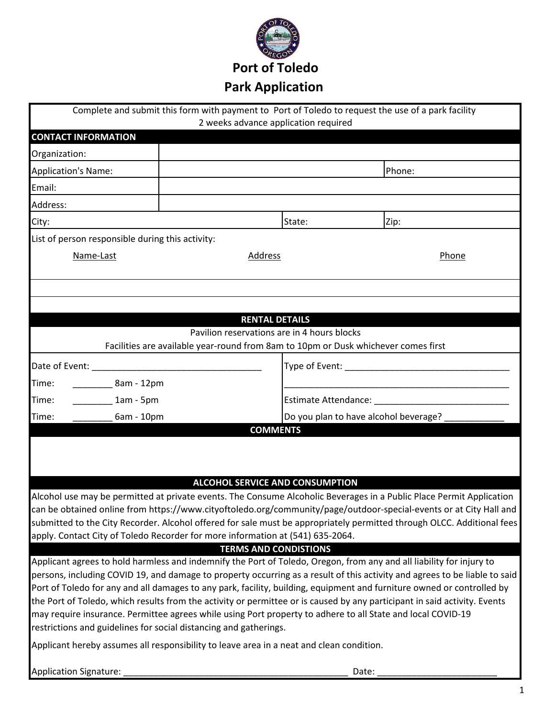

|                                                                                                             |                                                                                    |                                       | Complete and submit this form with payment to Port of Toledo to request the use of a park facility                                                                                                                                                 |  |  |  |
|-------------------------------------------------------------------------------------------------------------|------------------------------------------------------------------------------------|---------------------------------------|----------------------------------------------------------------------------------------------------------------------------------------------------------------------------------------------------------------------------------------------------|--|--|--|
|                                                                                                             | 2 weeks advance application required                                               |                                       |                                                                                                                                                                                                                                                    |  |  |  |
| <b>CONTACT INFORMATION</b>                                                                                  |                                                                                    |                                       |                                                                                                                                                                                                                                                    |  |  |  |
| Organization:                                                                                               |                                                                                    |                                       |                                                                                                                                                                                                                                                    |  |  |  |
| <b>Application's Name:</b>                                                                                  |                                                                                    |                                       | Phone:                                                                                                                                                                                                                                             |  |  |  |
| Email:                                                                                                      |                                                                                    |                                       |                                                                                                                                                                                                                                                    |  |  |  |
| Address:                                                                                                    |                                                                                    |                                       |                                                                                                                                                                                                                                                    |  |  |  |
| City:                                                                                                       |                                                                                    | State:                                | Zip:                                                                                                                                                                                                                                               |  |  |  |
| List of person responsible during this activity:                                                            |                                                                                    |                                       |                                                                                                                                                                                                                                                    |  |  |  |
| Name-Last                                                                                                   | Address                                                                            | Phone                                 |                                                                                                                                                                                                                                                    |  |  |  |
|                                                                                                             |                                                                                    |                                       |                                                                                                                                                                                                                                                    |  |  |  |
|                                                                                                             |                                                                                    |                                       |                                                                                                                                                                                                                                                    |  |  |  |
|                                                                                                             |                                                                                    |                                       |                                                                                                                                                                                                                                                    |  |  |  |
|                                                                                                             | <b>RENTAL DETAILS</b>                                                              |                                       |                                                                                                                                                                                                                                                    |  |  |  |
|                                                                                                             | Pavilion reservations are in 4 hours blocks                                        |                                       |                                                                                                                                                                                                                                                    |  |  |  |
|                                                                                                             | Facilities are available year-round from 8am to 10pm or Dusk whichever comes first |                                       |                                                                                                                                                                                                                                                    |  |  |  |
|                                                                                                             |                                                                                    |                                       |                                                                                                                                                                                                                                                    |  |  |  |
| ______________8am - 12pm<br>Time:                                                                           |                                                                                    |                                       |                                                                                                                                                                                                                                                    |  |  |  |
| Time:<br>$1am - 5pm$                                                                                        |                                                                                    |                                       |                                                                                                                                                                                                                                                    |  |  |  |
| Time:<br>6am - 10pm                                                                                         |                                                                                    | Do you plan to have alcohol beverage? |                                                                                                                                                                                                                                                    |  |  |  |
|                                                                                                             | <b>COMMENTS</b>                                                                    |                                       |                                                                                                                                                                                                                                                    |  |  |  |
|                                                                                                             |                                                                                    |                                       |                                                                                                                                                                                                                                                    |  |  |  |
|                                                                                                             |                                                                                    |                                       |                                                                                                                                                                                                                                                    |  |  |  |
|                                                                                                             | <b>ALCOHOL SERVICE AND CONSUMPTION</b>                                             |                                       |                                                                                                                                                                                                                                                    |  |  |  |
|                                                                                                             |                                                                                    |                                       | Alcohol use may be permitted at private events. The Consume Alcoholic Beverages in a Public Place Permit Application                                                                                                                               |  |  |  |
|                                                                                                             |                                                                                    |                                       | can be obtained online from https://www.cityoftoledo.org/community/page/outdoor-special-events or at City Hall and                                                                                                                                 |  |  |  |
|                                                                                                             |                                                                                    |                                       | submitted to the City Recorder. Alcohol offered for sale must be appropriately permitted through OLCC. Additional fees                                                                                                                             |  |  |  |
| apply. Contact City of Toledo Recorder for more information at (541) 635-2064.                              |                                                                                    |                                       |                                                                                                                                                                                                                                                    |  |  |  |
|                                                                                                             | <b>TERMS AND CONDISTIONS</b>                                                       |                                       |                                                                                                                                                                                                                                                    |  |  |  |
|                                                                                                             |                                                                                    |                                       | Applicant agrees to hold harmless and indemnify the Port of Toledo, Oregon, from any and all liability for injury to<br>persons, including COVID 19, and damage to property occurring as a result of this activity and agrees to be liable to said |  |  |  |
|                                                                                                             |                                                                                    |                                       | Port of Toledo for any and all damages to any park, facility, building, equipment and furniture owned or controlled by                                                                                                                             |  |  |  |
|                                                                                                             |                                                                                    |                                       | the Port of Toledo, which results from the activity or permittee or is caused by any participant in said activity. Events                                                                                                                          |  |  |  |
| may require insurance. Permittee agrees while using Port property to adhere to all State and local COVID-19 |                                                                                    |                                       |                                                                                                                                                                                                                                                    |  |  |  |
| restrictions and guidelines for social distancing and gatherings.                                           |                                                                                    |                                       |                                                                                                                                                                                                                                                    |  |  |  |
| Applicant hereby assumes all responsibility to leave area in a neat and clean condition.                    |                                                                                    |                                       |                                                                                                                                                                                                                                                    |  |  |  |
| <b>Application Signature:</b>                                                                               |                                                                                    | Date:                                 |                                                                                                                                                                                                                                                    |  |  |  |